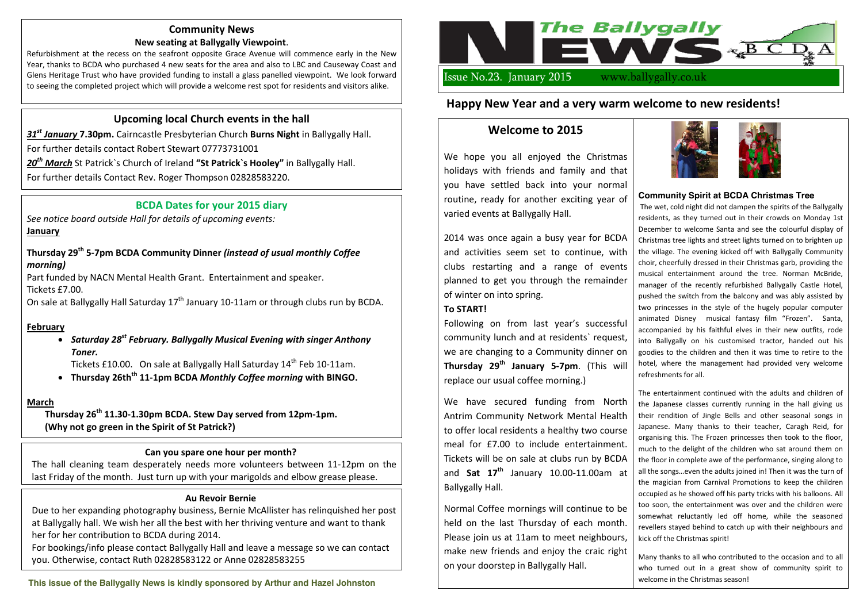# **Upcoming local Church events in the hall**

*31st January* **7.30pm.** Cairncastle Presbyterian Church **Burns Night** in Ballygally Hall.

For further details contact Robert Stewart 07773731001

*20th March* St Patrick`s Church of Ireland **"St Patrick`s Hooley"** in Ballygally Hall.

For further details Contact Rev. Roger Thompson 02828583220.

# **BCDA Dates for your 2015 diary**

*See notice board outside Hall for details of upcoming events:* **January**

### **Thursday 29th 5-7pm BCDA Community Dinner** *(instead of usual monthly Coffee morning)*

Part funded by NACN Mental Health Grant. Entertainment and speaker. Tickets £7.00.

On sale at Ballygally Hall Saturday 17<sup>th</sup> January 10-11am or through clubs run by BCDA.

### **February**

x *Saturday 28st February. Ballygally Musical Evening with singer Anthony Toner.* 

Tickets £10.00. On sale at Ballygally Hall Saturday 14<sup>th</sup> Feb 10-11am.

x **Thursday 26thth 11-1pm BCDA** *Monthly Coffee morning* **with BINGO.**

### **March**

**Thursday 26th 11.30-1.30pm BCDA. Stew Day served from 12pm-1pm. (Why not go green in the Spirit of St Patrick?)** 



# **Community News**

#### **New seating at Ballygally Viewpoint**.

Refurbishment at the recess on the seafront opposite Grace Avenue will commence early in the New Year, thanks to BCDA who purchased 4 new seats for the area and also to LBC and Causeway Coast and Glens Heritage Trust who have provided funding to install a glass panelled viewpoint. We look forward to seeing the completed project which will provide a welcome rest spot for residents and visitors alike.

#### **Au Revoir Bernie**

Due to her expanding photography business, Bernie McAllister has relinquished her post at Ballygally hall. We wish her all the best with her thriving venture and want to thank her for her contribution to BCDA during 2014.

For bookings/info please contact Ballygally Hall and leave a message so we can contact you. Otherwise, contact Ruth 02828583122 or Anne 02828583255

### **Can you spare one hour per month?**

The hall cleaning team desperately needs more volunteers between 11-12pm on the last Friday of the month. Just turn up with your marigolds and elbow grease please.

#### **Community Spirit at BCDA Christmas Tree**

The wet, cold night did not dampen the spirits of the Ballygally residents, as they turned out in their crowds on Monday 1st December to welcome Santa and see the colourful display of Christmas tree lights and street lights turned on to brighten up the village. The evening kicked off with Ballygally Community choir, cheerfully dressed in their Christmas garb, providing the musical entertainment around the tree. Norman McBride, manager of the recently refurbished Ballygally Castle Hotel, pushed the switch from the balcony and was ably assisted by two princesses in the style of the hugely popular computer animated Disney musical fantasy film "Frozen". Santa, accompanied by his faithful elves in their new outfits, rode into Ballygally on his customised tractor, handed out his goodies to the children and then it was time to retire to the hotel, where the management had provided very welcome refreshments for all.

The entertainment continued with the adults and children of the Japanese classes currently running in the hall giving us their rendition of Jingle Bells and other seasonal songs in Japanese. Many thanks to their teacher, Caragh Reid, for organising this. The Frozen princesses then took to the floor, much to the delight of the children who sat around them on the floor in complete awe of the performance, singing along to all the songs…even the adults joined in! Then it was the turn of the magician from Carnival Promotions to keep the children occupied as he showed off his party tricks with his balloons. All too soon, the entertainment was over and the children were somewhat reluctantly led off home, while the seasoned revellers stayed behind to catch up with their neighbours and kick off the Christmas spirit!

Many thanks to all who contributed to the occasion and to all who turned out in a great show of community spirit to welcome in the Christmas season!

# **Welcome to 2015**

We hope you all enjoyed the Christmas holidays with friends and family and that you have settled back into your normal routine, ready for another exciting year of varied events at Ballygally Hall.

2014 was once again a busy year for BCDA and activities seem set to continue, with clubs restarting and a range of events planned to get you through the remainder of winter on into spring.

# **To START!**

Following on from last year's successful community lunch and at residents` request, we are changing to a Community dinner on **Thursday 29th January 5-7pm**. (This will replace our usual coffee morning.)

We have secured funding from North Antrim Community Network Mental Health to offer local residents a healthy two course meal for £7.00 to include entertainment. Tickets will be on sale at clubs run by BCDA and **Sat 17th** January 10.00-11.00am at Ballygally Hall.

Normal Coffee mornings will continue to be held on the last Thursday of each month. Please join us at 11am to meet neighbours, make new friends and enjoy the craic right on your doorstep in Ballygally Hall.





# **Happy New Year and a very warm welcome to new residents!**

**This issue of the Ballygally News is kindly sponsored by Arthur and Hazel Johnston**